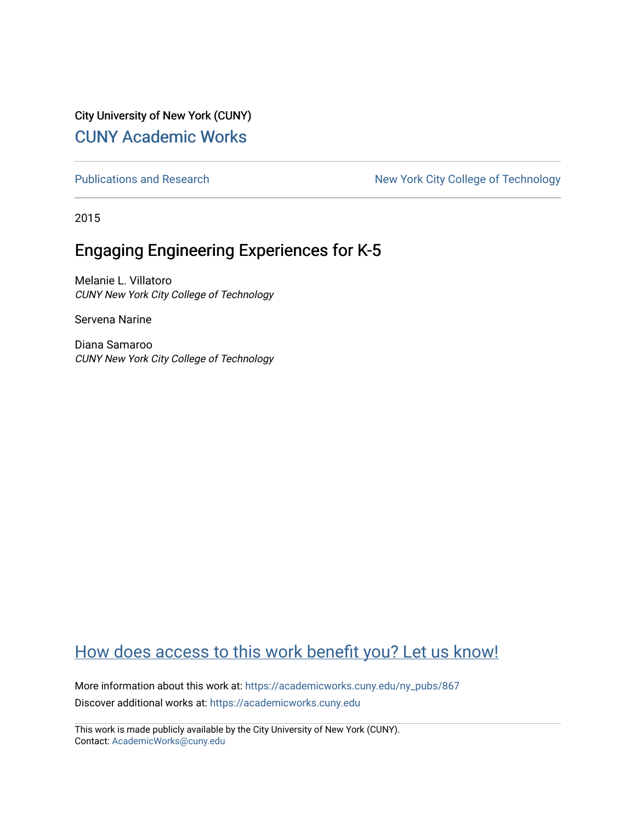City University of New York (CUNY) [CUNY Academic Works](https://academicworks.cuny.edu/) 

[Publications and Research](https://academicworks.cuny.edu/ny_pubs) New York City College of Technology

2015

# Engaging Engineering Experiences for K-5

Melanie L. Villatoro CUNY New York City College of Technology

Servena Narine

Diana Samaroo CUNY New York City College of Technology

# [How does access to this work benefit you? Let us know!](http://ols.cuny.edu/academicworks/?ref=https://academicworks.cuny.edu/ny_pubs/867)

More information about this work at: [https://academicworks.cuny.edu/ny\\_pubs/867](https://academicworks.cuny.edu/ny_pubs/867)  Discover additional works at: [https://academicworks.cuny.edu](https://academicworks.cuny.edu/?)

This work is made publicly available by the City University of New York (CUNY). Contact: [AcademicWorks@cuny.edu](mailto:AcademicWorks@cuny.edu)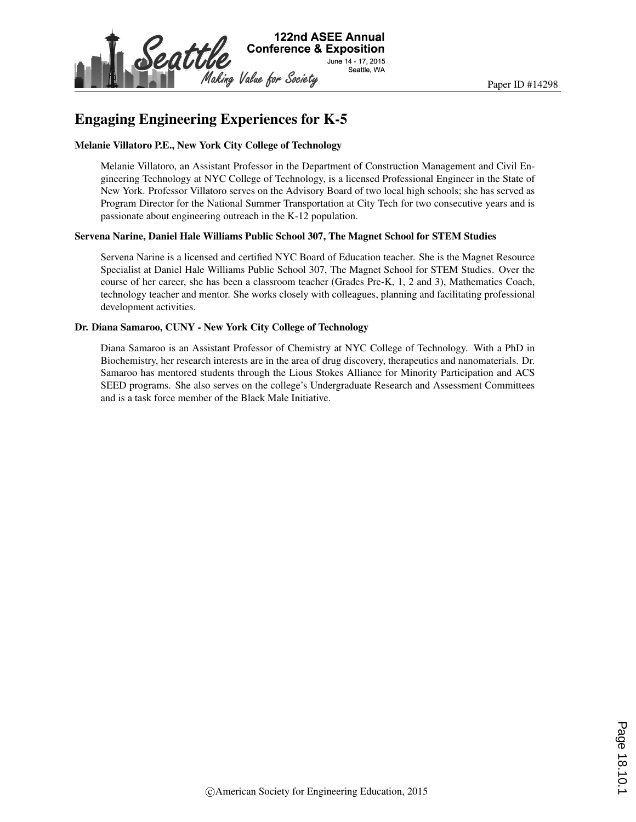

### Engaging Engineering Experiences for K-5

#### Melanie Villatoro P.E., New York City College of Technology

Melanie Villatoro, an Assistant Professor in the Department of Construction Management and Civil Engineering Technology at NYC College of Technology, is a licensed Professional Engineer in the State of New York. Professor Villatoro serves on the Advisory Board of two local high schools; she has served as Program Director for the National Summer Transportation at City Tech for two consecutive years and is passionate about engineering outreach in the K-12 population.

#### Servena Narine, Daniel Hale Williams Public School 307, The Magnet School for STEM Studies

Servena Narine is a licensed and certified NYC Board of Education teacher. She is the Magnet Resource Specialist at Daniel Hale Williams Public School 307, The Magnet School for STEM Studies. Over the course of her career, she has been a classroom teacher (Grades Pre-K, 1, 2 and 3), Mathematics Coach, technology teacher and mentor. She works closely with colleagues, planning and facilitating professional development activities.

### Dr. Diana Samaroo, CUNY - New York City College of Technology

Diana Samaroo is an Assistant Professor of Chemistry at NYC College of Technology. With a PhD in Biochemistry, her research interests are in the area of drug discovery, therapeutics and nanomaterials. Dr. Samaroo has mentored students through the Lious Stokes Alliance for Minority Participation and ACS SEED programs. She also serves on the college's Undergraduate Research and Assessment Committees and is a task force member of the Black Male Initiative.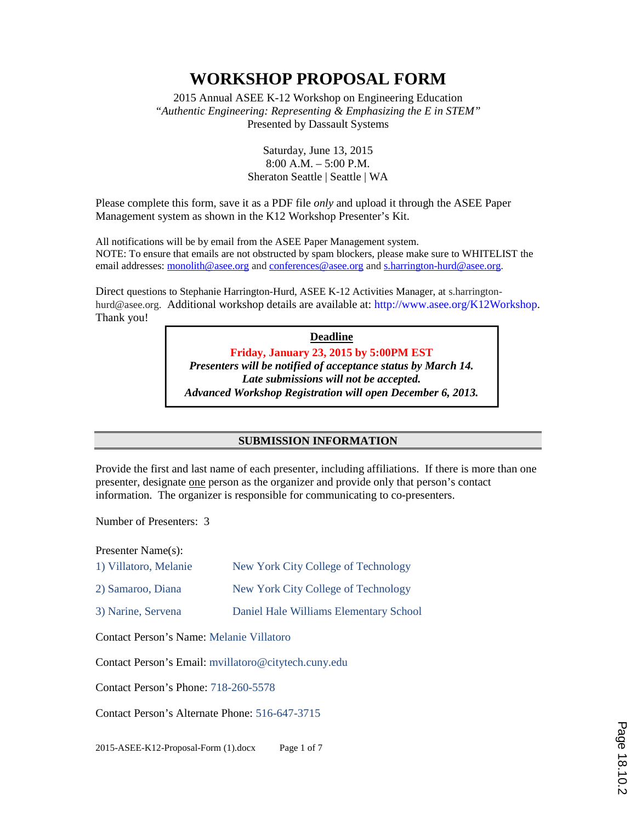2015 Annual ASEE K-12 Workshop on Engineering Education *"Authentic Engineering: Representing & Emphasizing the E in STEM"* Presented by Dassault Systems

> Saturday, June 13, 2015 8:00 A.M. – 5:00 P.M. Sheraton Seattle | Seattle | WA

Please complete this form, save it as a PDF file *only* and upload it through the ASEE Paper Management system as shown in the K12 Workshop Presenter's Kit.

All notifications will be by email from the ASEE Paper Management system. NOTE: To ensure that emails are not obstructed by spam blockers, please make sure to WHITELIST the email addresses: monolith@asee.org and conferences@asee.org and s.harrington-hurd@asee.org.

Direct questions to Stephanie Harrington-Hurd, ASEE K-12 Activities Manager, at s.harringtonhurd@asee.org. Additional workshop details are available at: http://www.asee.org/K12Workshop. Thank you!

> **Deadline Friday, January 23, 2015 by 5:00PM EST** *Presenters will be notified of acceptance status by March 14. Late submissions will not be accepted. Advanced Workshop Registration will open December 6, 2013.*

### **SUBMISSION INFORMATION**

Provide the first and last name of each presenter, including affiliations. If there is more than one presenter, designate one person as the organizer and provide only that person's contact information. The organizer is responsible for communicating to co-presenters.

Number of Presenters: 3

Presenter Name(s):

- 1) Villatoro, Melanie New York City College of Technology
- 2) Samaroo, Diana New York City College of Technology
- 3) Narine, Servena Daniel Hale Williams Elementary School

Contact Person's Name: Melanie Villatoro

Contact Person's Email: mvillatoro@citytech.cuny.edu

Contact Person's Phone: 718-260-5578

Contact Person's Alternate Phone: 516-647-3715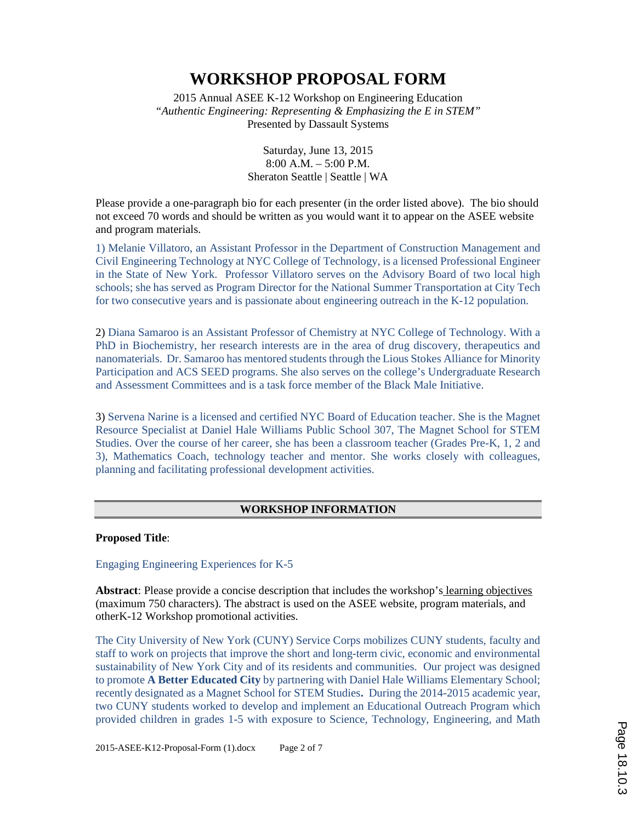2015 Annual ASEE K-12 Workshop on Engineering Education *"Authentic Engineering: Representing & Emphasizing the E in STEM"* Presented by Dassault Systems

> Saturday, June 13, 2015 8:00 A.M. – 5:00 P.M. Sheraton Seattle | Seattle | WA

Please provide a one-paragraph bio for each presenter (in the order listed above). The bio should not exceed 70 words and should be written as you would want it to appear on the ASEE website and program materials.

1) Melanie Villatoro, an Assistant Professor in the Department of Construction Management and Civil Engineering Technology at NYC College of Technology, is a licensed Professional Engineer in the State of New York. Professor Villatoro serves on the Advisory Board of two local high schools; she has served as Program Director for the National Summer Transportation at City Tech for two consecutive years and is passionate about engineering outreach in the K-12 population.

2) Diana Samaroo is an Assistant Professor of Chemistry at NYC College of Technology. With a PhD in Biochemistry, her research interests are in the area of drug discovery, therapeutics and nanomaterials. Dr. Samaroo has mentored students through the Lious Stokes Alliance for Minority Participation and ACS SEED programs. She also serves on the college's Undergraduate Research and Assessment Committees and is a task force member of the Black Male Initiative.

3) Servena Narine is a licensed and certified NYC Board of Education teacher. She is the Magnet Resource Specialist at Daniel Hale Williams Public School 307, The Magnet School for STEM Studies. Over the course of her career, she has been a classroom teacher (Grades Pre-K, 1, 2 and 3), Mathematics Coach, technology teacher and mentor. She works closely with colleagues, planning and facilitating professional development activities.

### **WORKSHOP INFORMATION**

**Proposed Title**:

Engaging Engineering Experiences for K-5

**Abstract**: Please provide a concise description that includes the workshop's learning objectives (maximum 750 characters). The abstract is used on the ASEE website, program materials, and otherK-12 Workshop promotional activities.

The City University of New York (CUNY) Service Corps mobilizes CUNY students, faculty and staff to work on projects that improve the short and long-term civic, economic and environmental sustainability of New York City and of its residents and communities. Our project was designed to promote **A Better Educated City** by partnering with Daniel Hale Williams Elementary School; recently designated as a Magnet School for STEM Studies**.** During the 2014-2015 academic year, two CUNY students worked to develop and implement an Educational Outreach Program which provided children in grades 1-5 with exposure to Science, Technology, Engineering, and Math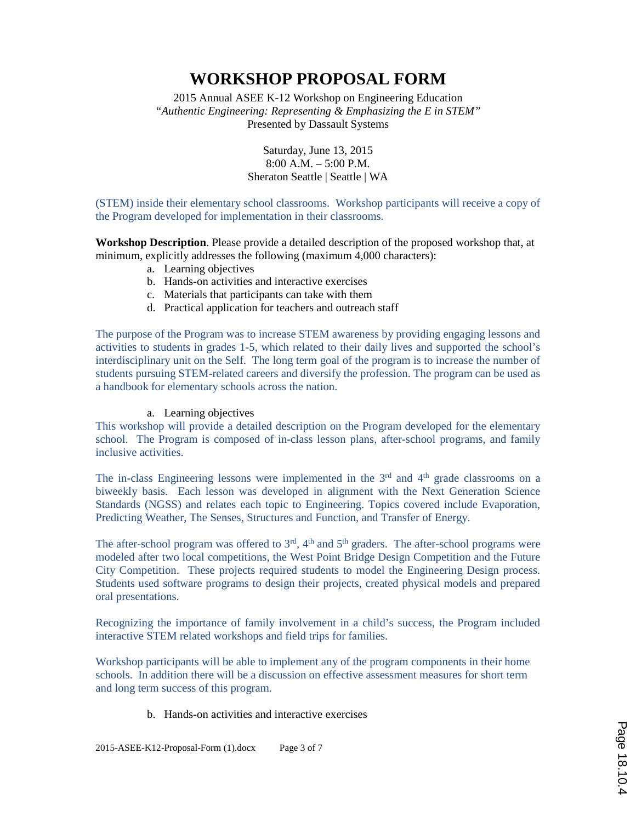2015 Annual ASEE K-12 Workshop on Engineering Education *"Authentic Engineering: Representing & Emphasizing the E in STEM"* Presented by Dassault Systems

> Saturday, June 13, 2015 8:00 A.M. – 5:00 P.M. Sheraton Seattle | Seattle | WA

(STEM) inside their elementary school classrooms. Workshop participants will receive a copy of the Program developed for implementation in their classrooms.

**Workshop Description**. Please provide a detailed description of the proposed workshop that, at minimum, explicitly addresses the following (maximum 4,000 characters):

- a. Learning objectives
- b. Hands-on activities and interactive exercises
- c. Materials that participants can take with them
- d. Practical application for teachers and outreach staff

The purpose of the Program was to increase STEM awareness by providing engaging lessons and activities to students in grades 1-5, which related to their daily lives and supported the school's interdisciplinary unit on the Self. The long term goal of the program is to increase the number of students pursuing STEM-related careers and diversify the profession. The program can be used as a handbook for elementary schools across the nation.

### a. Learning objectives

This workshop will provide a detailed description on the Program developed for the elementary school. The Program is composed of in-class lesson plans, after-school programs, and family inclusive activities.

The in-class Engineering lessons were implemented in the  $3<sup>rd</sup>$  and  $4<sup>th</sup>$  grade classrooms on a biweekly basis. Each lesson was developed in alignment with the Next Generation Science Standards (NGSS) and relates each topic to Engineering. Topics covered include Evaporation, Predicting Weather, The Senses, Structures and Function, and Transfer of Energy.

The after-school program was offered to  $3<sup>rd</sup>$ ,  $4<sup>th</sup>$  and  $5<sup>th</sup>$  graders. The after-school programs were modeled after two local competitions, the West Point Bridge Design Competition and the Future City Competition. These projects required students to model the Engineering Design process. Students used software programs to design their projects, created physical models and prepared oral presentations.

Recognizing the importance of family involvement in a child's success, the Program included interactive STEM related workshops and field trips for families.

Workshop participants will be able to implement any of the program components in their home schools. In addition there will be a discussion on effective assessment measures for short term and long term success of this program.

b. Hands-on activities and interactive exercises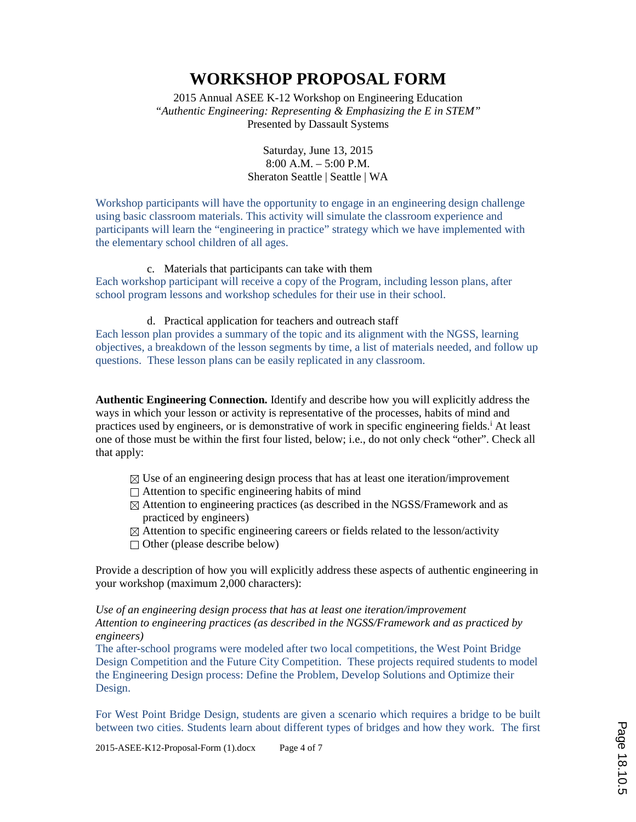2015 Annual ASEE K-12 Workshop on Engineering Education *"Authentic Engineering: Representing & Emphasizing the E in STEM"* Presented by Dassault Systems

> Saturday, June 13, 2015 8:00 A.M. – 5:00 P.M. Sheraton Seattle | Seattle | WA

Workshop participants will have the opportunity to engage in an engineering design challenge using basic classroom materials. This activity will simulate the classroom experience and participants will learn the "engineering in practice" strategy which we have implemented with the elementary school children of all ages.

### c. Materials that participants can take with them

Each workshop participant will receive a copy of the Program, including lesson plans, after school program lessons and workshop schedules for their use in their school.

#### d. Practical application for teachers and outreach staff

Each lesson plan provides a summary of the topic and its alignment with the NGSS, learning objectives, a breakdown of the lesson segments by time, a list of materials needed, and follow up questions. These lesson plans can be easily replicated in any classroom.

**Authentic Engineering Connection.** Identify and describe how you will explicitly address the ways in which your lesson or activity is representative of the processes, habits of mind and practices used by engineers, or is demonstrative of work in specific engineering fields.<sup>i</sup> At least one of those must be within the first four listed, below; i.e., do not only check "other". Check all that apply:

- $\boxtimes$  Use of an engineering design process that has at least one iteration/improvement
- $\Box$  Attention to specific engineering habits of mind
- $\boxtimes$  Attention to engineering practices (as described in the NGSS/Framework and as practiced by engineers)
- $\boxtimes$  Attention to specific engineering careers or fields related to the lesson/activity
- $\Box$  Other (please describe below)

Provide a description of how you will explicitly address these aspects of authentic engineering in your workshop (maximum 2,000 characters):

*Use of an engineering design process that has at least one iteration/improvement Attention to engineering practices (as described in the NGSS/Framework and as practiced by engineers)*

The after-school programs were modeled after two local competitions, the West Point Bridge Design Competition and the Future City Competition. These projects required students to model the Engineering Design process: Define the Problem, Develop Solutions and Optimize their Design.

For West Point Bridge Design, students are given a scenario which requires a bridge to be built between two cities. Students learn about different types of bridges and how they work. The first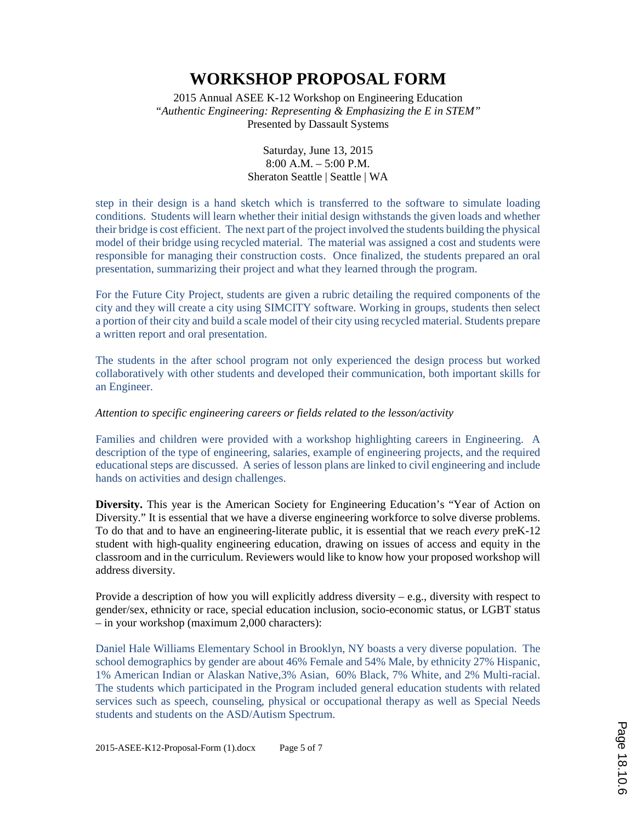2015 Annual ASEE K-12 Workshop on Engineering Education *"Authentic Engineering: Representing & Emphasizing the E in STEM"* Presented by Dassault Systems

> Saturday, June 13, 2015 8:00 A.M. – 5:00 P.M. Sheraton Seattle | Seattle | WA

step in their design is a hand sketch which is transferred to the software to simulate loading conditions. Students will learn whether their initial design withstands the given loads and whether their bridge is cost efficient. The next part of the project involved the students building the physical model of their bridge using recycled material. The material was assigned a cost and students were responsible for managing their construction costs. Once finalized, the students prepared an oral presentation, summarizing their project and what they learned through the program.

For the Future City Project, students are given a rubric detailing the required components of the city and they will create a city using SIMCITY software. Working in groups, students then select a portion of their city and build a scale model of their city using recycled material. Students prepare a written report and oral presentation.

The students in the after school program not only experienced the design process but worked collaboratively with other students and developed their communication, both important skills for an Engineer.

#### *Attention to specific engineering careers or fields related to the lesson/activity*

Families and children were provided with a workshop highlighting careers in Engineering. A description of the type of engineering, salaries, example of engineering projects, and the required educational steps are discussed. A series of lesson plans are linked to civil engineering and include hands on activities and design challenges.

**Diversity.** This year is the American Society for Engineering Education's "Year of Action on Diversity." It is essential that we have a diverse engineering workforce to solve diverse problems. To do that and to have an engineering-literate public, it is essential that we reach *every* preK-12 student with high-quality engineering education, drawing on issues of access and equity in the classroom and in the curriculum. Reviewers would like to know how your proposed workshop will address diversity.

Provide a description of how you will explicitly address diversity – e.g., diversity with respect to gender/sex, ethnicity or race, special education inclusion, socio-economic status, or LGBT status – in your workshop (maximum 2,000 characters):

Daniel Hale Williams Elementary School in Brooklyn, NY boasts a very diverse population. The school demographics by gender are about 46% Female and 54% Male, by ethnicity 27% Hispanic, 1% American Indian or Alaskan Native,3% Asian, 60% Black, 7% White, and 2% Multi-racial. The students which participated in the Program included general education students with related services such as speech, counseling, physical or occupational therapy as well as Special Needs students and students on the ASD/Autism Spectrum.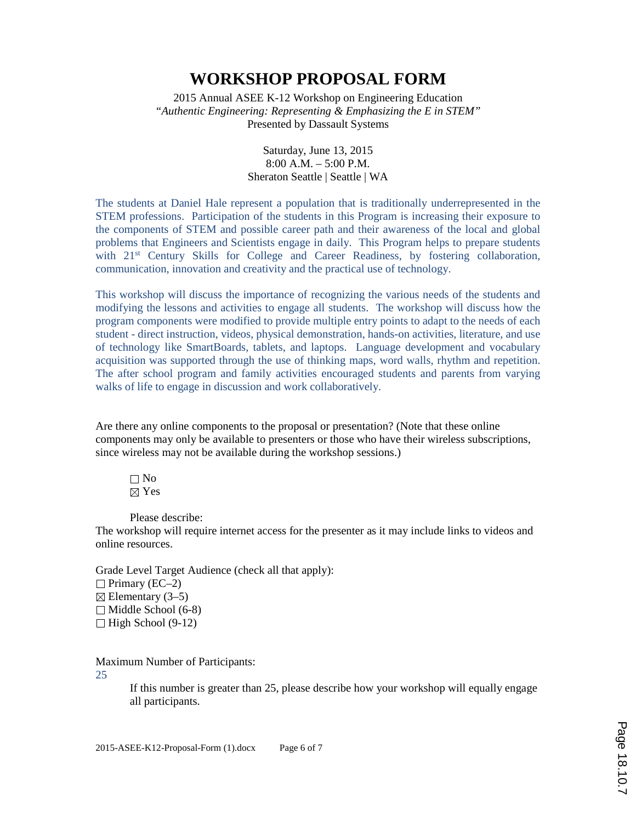2015 Annual ASEE K-12 Workshop on Engineering Education *"Authentic Engineering: Representing & Emphasizing the E in STEM"* Presented by Dassault Systems

> Saturday, June 13, 2015 8:00 A.M. – 5:00 P.M. Sheraton Seattle | Seattle | WA

The students at Daniel Hale represent a population that is traditionally underrepresented in the STEM professions. Participation of the students in this Program is increasing their exposure to the components of STEM and possible career path and their awareness of the local and global problems that Engineers and Scientists engage in daily. This Program helps to prepare students with 21<sup>st</sup> Century Skills for College and Career Readiness, by fostering collaboration, communication, innovation and creativity and the practical use of technology.

This workshop will discuss the importance of recognizing the various needs of the students and modifying the lessons and activities to engage all students. The workshop will discuss how the program components were modified to provide multiple entry points to adapt to the needs of each student - direct instruction, videos, physical demonstration, hands-on activities, literature, and use of technology like SmartBoards, tablets, and laptops. Language development and vocabulary acquisition was supported through the use of thinking maps, word walls, rhythm and repetition. The after school program and family activities encouraged students and parents from varying walks of life to engage in discussion and work collaboratively.

Are there any online components to the proposal or presentation? (Note that these online components may only be available to presenters or those who have their wireless subscriptions, since wireless may not be available during the workshop sessions.)

 $\Box$  No ⊠ Yes

Please describe:

The workshop will require internet access for the presenter as it may include links to videos and online resources.

Grade Level Target Audience (check all that apply):  $\Box$  Primary (EC–2)  $\boxtimes$  Elementary (3–5)  $\Box$  Middle School (6-8)  $\Box$  High School (9-12)

Maximum Number of Participants:

25

If this number is greater than 25, please describe how your workshop will equally engage all participants.